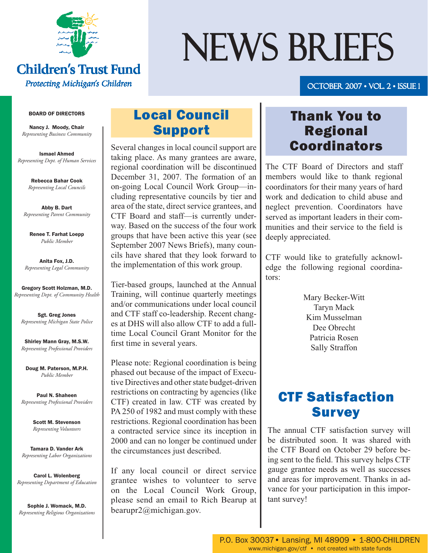

## **Children's Trust Fund** Protecting Michigan's Children

# NEWS BRIEFS

## october 2007 • Vol. 2 • Issue 1 007

#### BOARD OF DIRECTORS

Nancy J. Moody, Chair *Representing Business Community*

Ismael Ahmed *Representing Dept. of Human Services*

> Rebecca Bahar Cook *Representing Local Councils*

Abby B. Dart *Representing Parent Community*

Renee T. Farhat Loepp *Public Member*

Anita Fox, J.D. *Representing Legal Community*

Gregory Scott Holzman, M.D. *Representing Dept. of Community Health*

Sgt. Greg Jones *Representing Michigan State Police*

Shirley Mann Gray, M.S.W. *Representing Professional Providers*

Doug M. Paterson, M.P.H. *Public Member*

Paul N. Shaheen *Representing Professional Providers*

> Scott M. Stevenson *Representing Volunteers*

Tamara D. Vander Ark *Representing Labor Organizations*

Carol L. Wolenberg *Representing Department of Education*

Sophie J. Womack, M.D. *Representing Religious Organizations*

## Local Council Support

Several changes in local council support are taking place. As many grantees are aware, regional coordination will be discontinued December 31, 2007. The formation of an on-going Local Council Work Group—including representative councils by tier and area of the state, direct service grantees, and CTF Board and staff—is currently underway. Based on the success of the four work groups that have been active this year (see September 2007 News Briefs), many councils have shared that they look forward to the implementation of this work group.

Tier-based groups, launched at the Annual Training, will continue quarterly meetings and/or communications under local council and CTF staff co-leadership. Recent changes at DHS will also allow CTF to add a fulltime Local Council Grant Monitor for the first time in several years.

Please note: Regional coordination is being phased out because of the impact of Executive Directives and other state budget-driven restrictions on contracting by agencies (like CTF) created in law. CTF was created by PA 250 of 1982 and must comply with these restrictions. Regional coordination has been a contracted service since its inception in 2000 and can no longer be continued under the circumstances just described.

If any local council or direct service grantee wishes to volunteer to serve on the Local Council Work Group, please send an email to Rich Bearup at bearupr2@michigan.gov.

## Thank You to Regional Coordinators

The CTF Board of Directors and staff members would like to thank regional coordinators for their many years of hard work and dedication to child abuse and neglect prevention. Coordinators have served as important leaders in their communities and their service to the field is deeply appreciated.

CTF would like to gratefully acknowledge the following regional coordinators:

> Mary Becker-Witt Taryn Mack Kim Musselman Dee Obrecht Patricia Rosen Sally Straffon

## CTF Satisfaction **Survey**

The annual CTF satisfaction survey will be distributed soon. It was shared with the CTF Board on October 29 before being sent to the field. This survey helps CTF gauge grantee needs as well as successes and areas for improvement. Thanks in advance for your participation in this important survey!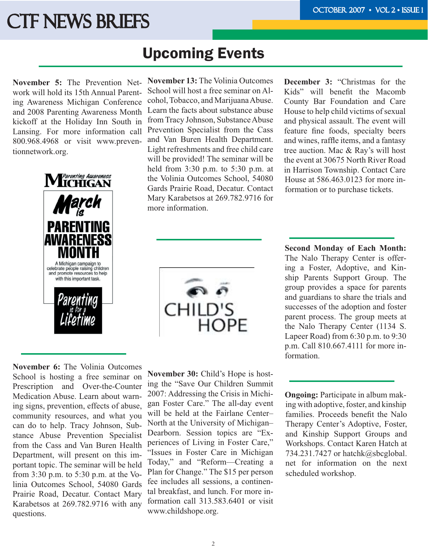## **CTF NEWS BRIEFS**

## Upcoming Events

**November 5:** The Prevention Network will hold its 15th Annual Parenting Awareness Michigan Conference and 2008 Parenting Awareness Month kickoff at the Holiday Inn South in Lansing. For more information call 800.968.4968 or visit www.preventionnetwork.org.



**November 13:** The Volinia Outcomes School will host a free seminar on Alcohol, Tobacco, and Marijuana Abuse. Learn the facts about substance abuse from Tracy Johnson, Substance Abuse Prevention Specialist from the Cass and Van Buren Health Department. Light refreshments and free child care will be provided! The seminar will be held from 3:30 p.m. to 5:30 p.m. at the Volinia Outcomes School, 54080 Gards Prairie Road, Decatur. Contact Mary Karabetsos at 269.782.9716 for more information.

CHILD'S<br>HOPE

**November 6:** The Volinia Outcomes School is hosting a free seminar on Prescription and Over-the-Counter Medication Abuse. Learn about warning signs, prevention, effects of abuse, community resources, and what you can do to help. Tracy Johnson, Substance Abuse Prevention Specialist from the Cass and Van Buren Health Department, will present on this important topic. The seminar will be held from 3:30 p.m. to 5:30 p.m. at the Volinia Outcomes School, 54080 Gards Prairie Road, Decatur. Contact Mary Karabetsos at 269.782.9716 with any questions.

**November 30:** Child's Hope is hosting the "Save Our Children Summit 2007: Addressing the Crisis in Michigan Foster Care." The all-day event will be held at the Fairlane Center– North at the University of Michigan– Dearborn. Session topics are "Experiences of Living in Foster Care," "Issues in Foster Care in Michigan Today," and "Reform—Creating a Plan for Change." The \$15 per person fee includes all sessions, a continental breakfast, and lunch. For more information call 313.583.6401 or visit www.childshope.org.

**December 3:** "Christmas for the Kids" will benefit the Macomb County Bar Foundation and Care House to help child victims of sexual and physical assault. The event will feature fine foods, specialty beers and wines, raffle items, and a fantasy tree auction. Mac & Ray's will host the event at 30675 North River Road in Harrison Township. Contact Care House at 586.463.0123 for more information or to purchase tickets.

**Second Monday of Each Month:** The Nalo Therapy Center is offering a Foster, Adoptive, and Kinship Parents Support Group. The group provides a space for parents and guardians to share the trials and successes of the adoption and foster parent process. The group meets at the Nalo Therapy Center (1134 S. Lapeer Road) from 6:30 p.m. to 9:30 p.m. Call 810.667.4111 for more information.

**Ongoing:** Participate in album making with adoptive, foster, and kinship families. Proceeds benefit the Nalo Therapy Center's Adoptive, Foster, and Kinship Support Groups and Workshops. Contact Karen Hatch at 734.231.7427 or hatchk@sbcglobal. net for information on the next scheduled workshop.